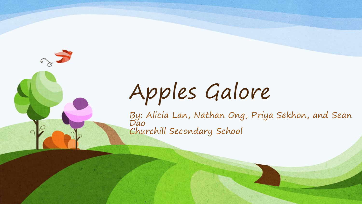# Apples Galore

By: Alicia Lan, Nathan Ong, Priya Sekhon, and Sean Dao Churchill Secondary School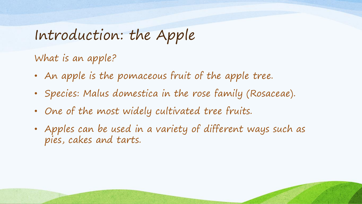#### Introduction: the Apple

What is an apple?

- An apple is the pomaceous fruit of the apple tree.
- Species: Malus domestica in the rose family (Rosaceae).
- One of the most widely cultivated tree fruits.
- Apples can be used in a variety of different ways such as pies, cakes and tarts.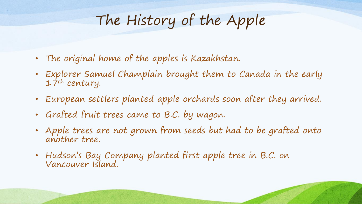#### The History of the Apple

- The original home of the apples is Kazakhstan.
- Explorer Samuel Champlain brought them to Canada in the early 17th century.
- European settlers planted apple orchards soon after they arrived.
- Grafted fruit trees came to B.C. by wagon.
- Apple trees are not grown from seeds but had to be grafted onto another tree.
- Hudson's Bay Company planted first apple tree in B.C. on Vancouver Island.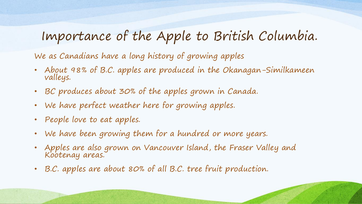#### Importance of the Apple to British Columbia.

We as Canadians have a long history of growing apples

- About 98% of B.C. apples are produced in the Okanagan-Similkameen valleys.
- BC produces about 30% of the apples grown in Canada.
- We have perfect weather here for growing apples.
- People love to eat apples.
- We have been growing them for a hundred or more years.
- Apples are also grown on Vancouver Island, the Fraser Valley and Kootenay areas.
- B.C. apples are about 80% of all B.C. tree fruit production.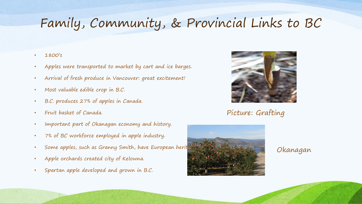#### Family, Community, & Provincial Links to BC

- 1800's
- Apples were transported to market by cart and ice barges.
- Arrival of fresh produce in Vancouver: great excitement!
- Most valuable edible crop in B.C.
- B.C. produces 27% of apples in Canada.
- Fruit basket of Canada.
- Important part of Okanagan economy and history.
- 7% of BC workforce employed in apple industry.
- Some apples, such as Granny Smith, have European herit
- Apple orchards created city of Kelowna.
- Spartan apple developed and grown in B.C.



Picture: Grafting



#### Okanagan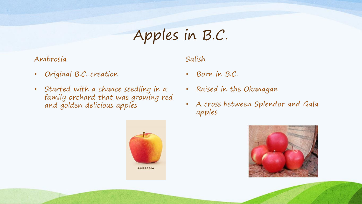# Apples in B.C.

#### Ambrosia

Salish

- Original B.C. creation
- Started with a chance seedling in a family orchard that was growing red and golden delicious apples



#### • Born in B.C.

- Raised in the Okanagan
- A cross between Splendor and Gala apples

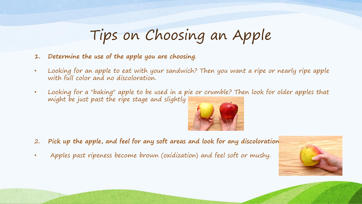# Tips on Choosing an Apple

- **1. Determine the use of the apple you are choosing**.
- Looking for an apple to eat with your sandwich? Then you want a ripe or nearly ripe apple with full color and no discoloration.
- Looking for a "baking" apple to be used in a pie or crumble? Then look for older apples that might be just past the ripe stage and slightly



- 2. **Pick up the apple, and feel for any soft areas and look for any discoloration**.
- Apples past ripeness become brown (oxidization) and feel soft or mushy.

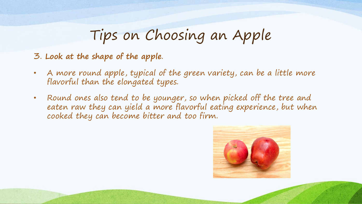# Tips on Choosing an Apple

- 3. **Look at the shape of the apple**.
- A more round apple, typical of the green variety, can be a little more flavorful than the elongated types.
- Round ones also tend to be younger, so when picked off the tree and eaten raw they can yield a more flavorful eating experience, but when cooked they can become bitter and too firm.

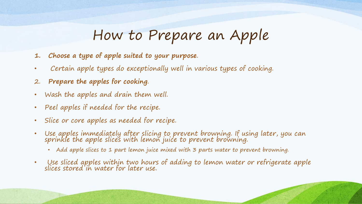#### How to Prepare an Apple

- **1. Choose a type of apple suited to your purpose**.
- Certain apple types do exceptionally well in various types of cooking.
- 2. **Prepare the apples for cooking**.
- Wash the apples and drain them well.
- Peel apples if needed for the recipe.
- Slice or core apples as needed for recipe.
- Use apples immediately after slicing to prevent browning. If using later, you can sprinkle the apple slices with lemon juice to prevent browning.
	- Add apple slices to 1 part lemon juice mixed with 3 parts water to prevent browning.
- Use sliced apples within two hours of adding to lemon water or refrigerate apple slices stored in water for later use.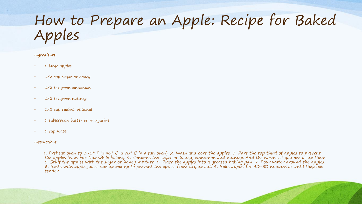#### How to Prepare an Apple: Recipe for Baked Apples

#### **Ingredients:**

- 6 large apples
- 1/2 cup sugar or honey
- 1/2 teaspoon cinnamon
- 1/2 teaspoon nutmeg
- 1/2 cup raisins, optional
- 1 tablespoon butter or margarine
- 1 cup water

#### **Instructions:**

1. Preheat oven to 375° F (190° C, 170° C in a fan oven). 2. Wash and core the apples. 3. Pare the top third of apples to prevent the apples from bursting while baking. 4. Combine the sugar or honey, cinnamon and nutmeg. Add the raisins, if you are using them. 5. Stuff the apples with the sugar or honey mixture. 6. Place the apples into a greased baking pan. 7. Pour water around the apples. 8. Baste with apple juices during baking to prevent the apples from drying out. 9. Bake apples for 40-50 minutes or until they feel tender.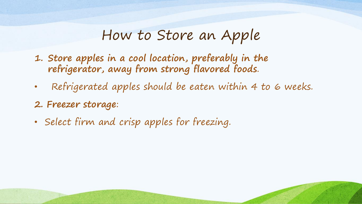#### How to Store an Apple

- **1. Store apples in a cool location, preferably in the refrigerator, away from strong flavored foods**.
- Refrigerated apples should be eaten within 4 to 6 weeks.
- **2. Freezer storage**:
- Select firm and crisp apples for freezing.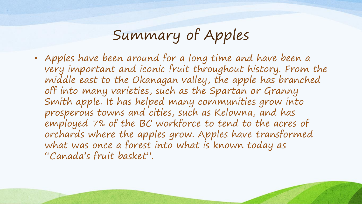# Summary of Apples

• Apples have been around for a long time and have been a very important and iconic fruit throughout history. From the middle east to the Okanagan valley, the apple has branched off into many varieties, such as the Spartan or Granny Smith apple. It has helped many communities grow into prosperous towns and cities, such as Kelowna, and has employed 7% of the BC workforce to tend to the acres of orchards where the apples grow. Apples have transformed what was once a forest into what is known today as "Canada's fruit basket".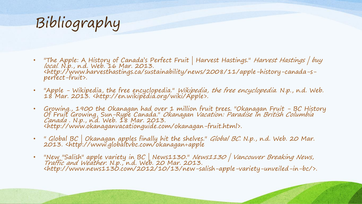# Bibliography

- "The Apple: A History of Canada's Perfect Fruit | Harvest Hastings." *Harvest Hastings | buy* local. N.p., n.d. Web. 16 Mar. 2013. <http://www.harvesthastings.ca/sustainability/news/2008/11/apple-history-canada-sperfect-fruit>.
- "Apple Wikipedia, the free encyclopedia." Wikipedia, the free encyclopedia. N.p., n.d. Web. 18 Mar. 2013. <http://en.wikipedia.org/wiki/Apple>.
- Growing., 1900 the Okanagan had over 1 million fruit trees. "Okanagan Fruit BC History Of Fruit Growing, Sun-Rype Canada." Okanagan Vacation: Paradise In British Columbia Canada . N.p., n.d. Web. I'8 Mar. 2013. <http://www.okanaganvacationguide.com/okanagan-fruit.html>.
- " Global BC | Okanagan apples finally hit the shelves." *Global BC*. N.p., n.d. Web. 20 Mar. 2013. <http://www.globaltvbc.com/okanagan+apple
- "New "Salish" apple variety in BC | News1130." News1130 | Vancouver Breaking News, Traffic and Weather. N.p., n.d. Web. 20 Mar. 2013. <http://www.news1130.com/2012/10/13/new-salish-apple-variety-unveiled-in-bc/>.